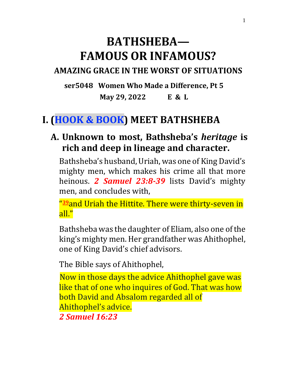# **BATHSHEBA— FAMOUS OR INFAMOUS?**

#### **AMAZING GRACE IN THE WORST OF SITUATIONS**

**ser5048 Women Who Made a Difference, Pt 5 May 29, 2022 E & L**

## **I. (HOOK & BOOK) MEET BATHSHEBA**

#### **A. Unknown to most, Bathsheba's** *heritage* **is rich and deep in lineage and character.**

Bathsheba's husband, Uriah, was one of King David's mighty men, which makes his crime all that more heinous. *2 Samuel 23:8-39* lists David's mighty men, and concludes with,

" **[39](https://www.christianity.com/bible/niv/2-samuel/23-39)**and Uriah the Hittite. There were thirty-seven in all."

Bathsheba was the daughter of Eliam, also one of the king's mighty men. Her grandfather was Ahithophel, one of King David's chief advisors.

The Bible says of Ahithophel,

Now in those days the advice Ahithophel gave was like that of one who inquires of God. That was how both David and Absalom regarded all of Ahithophel's advice. *2 Samuel 16:23*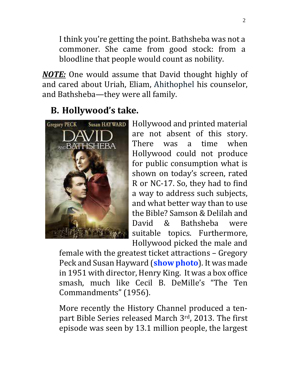I think you're getting the point. Bathsheba was not a commoner. She came from good stock: from a bloodline that people would count as nobility.

*NOTE:* One would assume that David thought highly of and cared about Uriah, Eliam, Ahithophel his counselor, and Bathsheba—they were all family.

# **B. Hollywood's take.**



Hollywood and printed material are not absent of this story. There was a time when Hollywood could not produce for public consumption what is shown on today's screen, rated R or NC-17. So, they had to find a way to address such subjects, and what better way than to use the Bible? Samson & Delilah and David & Bathsheba were suitable topics. Furthermore, Hollywood picked the male and

female with the greatest ticket attractions – Gregory Peck and Susan Hayward (**show photo**). It was made in 1951 with director, Henry King. It was a box office smash, much like Cecil B. DeMille's "The Ten Commandments" (1956).

More recently the History Channel produced a tenpart Bible Series released March 3rd, 2013. The first episode was seen by 13.1 million people, the largest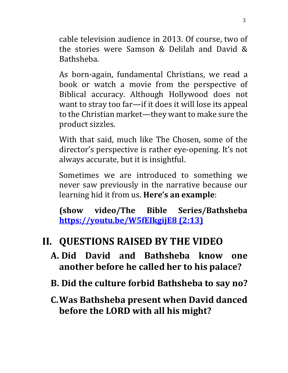cable television audience in 2013. Of course, two of the stories were Samson & Delilah and David & Bathsheba.

As born-again, fundamental Christians, we read a book or watch a movie from the perspective of Biblical accuracy. Although Hollywood does not want to stray too far—if it does it will lose its appeal to the Christian market—they want to make sure the product sizzles.

With that said, much like The Chosen, some of the director's perspective is rather eye-opening. It's not always accurate, but it is insightful.

Sometimes we are introduced to something we never saw previously in the narrative because our learning hid it from us. **Here's an example**:

**(show video/The Bible Series/Bathsheba <https://youtu.be/W5fEIkgijE8> (2:13)**

## **II. QUESTIONS RAISED BY THE VIDEO**

- **A. Did David and Bathsheba know one another before he called her to his palace?**
- **B. Did the culture forbid Bathsheba to say no?**
- **C.Was Bathsheba present when David danced before the LORD with all his might?**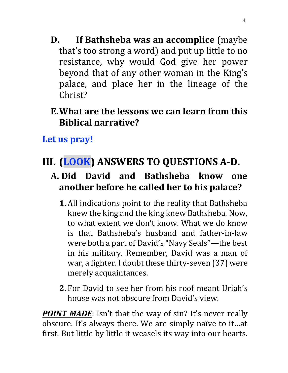- **D. If Bathsheba was an accomplice** (maybe that's too strong a word) and put up little to no resistance, why would God give her power beyond that of any other woman in the King's palace, and place her in the lineage of the Christ?
- **E.What are the lessons we can learn from this Biblical narrative?**

**Let us pray!** 

# **III. (LOOK) ANSWERS TO QUESTIONS A-D.**

- **A. Did David and Bathsheba know one another before he called her to his palace?**
	- **1.** All indications point to the reality that Bathsheba knew the king and the king knew Bathsheba. Now, to what extent we don't know. What we do know is that Bathsheba's husband and father-in-law were both a part of David's "Navy Seals"—the best in his military. Remember, David was a man of war, a fighter. I doubt these thirty-seven (37) were merely acquaintances.
	- **2.** For David to see her from his roof meant Uriah's house was not obscure from David's view.

**POINT MADE:** Isn't that the way of sin? It's never really obscure. It's always there. We are simply naïve to it…at first. But little by little it weasels its way into our hearts.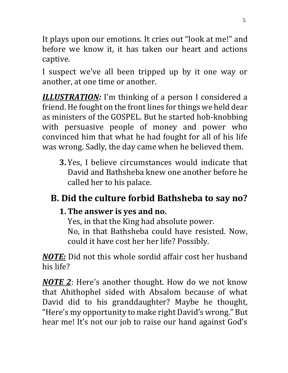It plays upon our emotions. It cries out "look at me!" and before we know it, it has taken our heart and actions captive.

I suspect we've all been tripped up by it one way or another, at one time or another.

*ILLUSTRATION:* I'm thinking of a person I considered a friend. He fought on the front lines for things we held dear as ministers of the GOSPEL. But he started hob-knobbing with persuasive people of money and power who convinced him that what he had fought for all of his life was wrong. Sadly, the day came when he believed them.

**3.** Yes, I believe circumstances would indicate that David and Bathsheba knew one another before he called her to his palace.

# **B. Did the culture forbid Bathsheba to say no?**

### **1. The answer is yes and no.**

Yes, in that the King had absolute power.

No, in that Bathsheba could have resisted. Now, could it have cost her her life? Possibly.

*NOTE:* Did not this whole sordid affair cost her husband his life?

*NOTE 2*: Here's another thought. How do we not know that Ahithophel sided with Absalom because of what David did to his granddaughter? Maybe he thought, "Here's my opportunity to make right David's wrong." But hear me! It's not our job to raise our hand against God's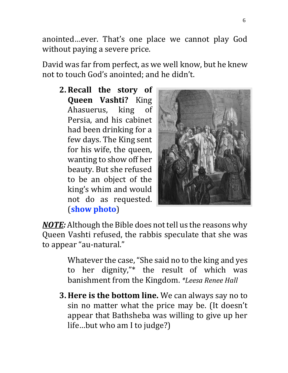anointed…ever. That's one place we cannot play God without paying a severe price.

David was far from perfect, as we well know, but he knew not to touch God's anointed; and he didn't.

**2. Recall the story of Queen Vashti?** King Ahasuerus, king of Persia, and his cabinet had been drinking for a few days. The King sent for his wife, the queen, wanting to show off her beauty. But she refused to be an object of the king's whim and would not do as requested. (**show photo**)



*NOTE:* Although the Bible does not tell us the reasons why Queen Vashti refused, the rabbis speculate that she was to appear "au-natural."

> Whatever the case, "She said no to the king and yes to her dignity,"\* the result of which was banishment from the Kingdom. *\*Leesa Renee Hall*

**3. Here is the bottom line.** We can always say no to sin no matter what the price may be. (It doesn't appear that Bathsheba was willing to give up her life…but who am I to judge?)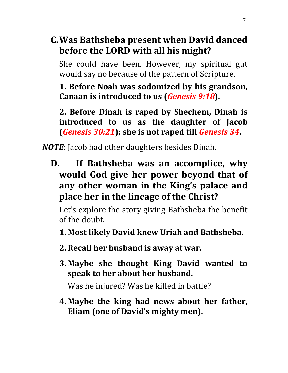**C.Was Bathsheba present when David danced before the LORD with all his might?**

She could have been. However, my spiritual gut would say no because of the pattern of Scripture.

**1. Before Noah was sodomized by his grandson, Canaan is introduced to us (***Genesis 9:18***).**

**2. Before Dinah is raped by Shechem, Dinah is introduced to us as the daughter of Jacob (***Genesis 30:21***); she is not raped till** *Genesis 34***.** 

*NOTE*: Jacob had other daughters besides Dinah.

**D. If Bathsheba was an accomplice, why would God give her power beyond that of any other woman in the King's palace and place her in the lineage of the Christ?**

Let's explore the story giving Bathsheba the benefit of the doubt.

**1. Most likely David knew Uriah and Bathsheba.**

- **2. Recall her husband is away at war.**
- **3. Maybe she thought King David wanted to speak to her about her husband.**

Was he injured? Was he killed in battle?

**4. Maybe the king had news about her father, Eliam (one of David's mighty men).**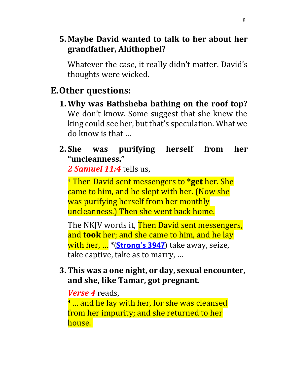#### **5. Maybe David wanted to talk to her about her grandfather, Ahithophel?**

Whatever the case, it really didn't matter. David's thoughts were wicked.

### **E.Other questions:**

**1. Why was Bathsheba bathing on the roof top?** We don't know. Some suggest that she knew the king could see her, but that's speculation. What we do know is that …

#### **2. She was purifying herself from her "uncleanness."**

*2 Samuel 11:4* tells us,

[4](https://www.christianity.com/bible/niv/2-samuel/11-4) Then David sent messengers to **\*get** her. She came to him, and he slept with her. (Now she was purifying herself from her monthly uncleanness.) Then she went back home.

The NKJV words it, **Then David sent messengers,** and **took** her; and she came to him, and he lay with her, … **\***(**[Strong's 3947](https://www.blueletterbible.org/lang/lexicon/lexicon.cfm?t=kjv&strongs=h3947)**) take away, seize, take captive, take as to marry, …

#### **3. This was a one night, or day, sexual encounter, and she, like Tamar, got pregnant.**

#### *Verse 4* reads,

**<sup>4</sup>**… and he lay with her, for she was cleansed from her impurity; and she returned to her house.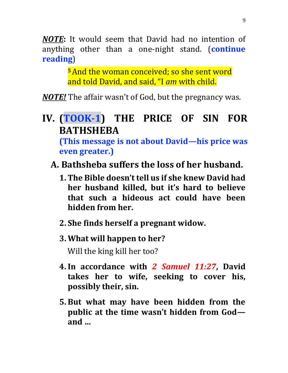*NOTE***:** It would seem that David had no intention of anything other than a one-night stand. (**continue reading**)

> **<sup>5</sup>**And the woman conceived; so she sent word and told David, and said, "I *am* with child.

*NOTE!* The affair wasn't of God, but the pregnancy was.

### **IV. (TOOK-1) THE PRICE OF SIN FOR BATHSHEBA (This message is not about David—his price was**

**even greater.)**

- **A. Bathsheba suffers the loss of her husband.**
	- **1. The Bible doesn't tell us if she knew David had her husband killed, but it's hard to believe that such a hideous act could have been hidden from her.**
	- **2. She finds herself a pregnant widow.**
	- **3. What will happen to her?**

Will the king kill her too?

- **4.In accordance with** *2 Samuel 11:27***, David takes her to wife, seeking to cover his, possibly their, sin.**
- **5. But what may have been hidden from the public at the time wasn't hidden from God and …**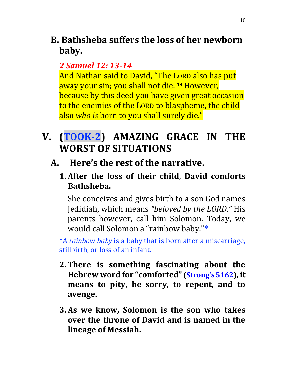**B. Bathsheba suffers the loss of her newborn baby.**

#### *2 Samuel 12: 13-14*

And Nathan said to David, "The LORD also has put away your sin; you shall not die. **<sup>14</sup>**However, because by this deed you have given great occasion to the enemies of the LORD to blaspheme, the child also *who is* born to you shall surely die."

**V. (TOOK-2) AMAZING GRACE IN THE WORST OF SITUATIONS**

### **A. Here's the rest of the narrative.**

**1. After the loss of their child, David comforts Bathsheba.** 

She conceives and gives birth to a son God names Jedidiah, which means *"beloved by the LORD."* His parents however, call him Solomon. Today, we would call Solomon a "rainbow baby."**\***

**\***A *rainbow baby* is a baby that is born after a miscarriage, stillbirth, or loss of an infant.

- **2. There is something fascinating about the Hebrew word for "comforted" ([Strong's 5162](https://biblehub.com/hebrew/5162.htm)), it means to pity, be sorry, to repent, and to avenge.**
- **3. As we know, Solomon is the son who takes over the throne of David and is named in the lineage of Messiah.**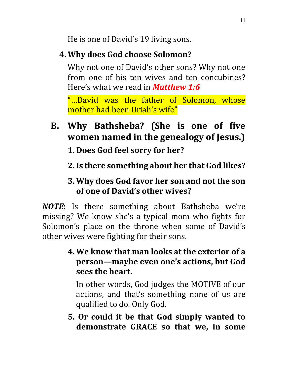He is one of David's 19 living sons.

### **4. Why does God choose Solomon?**

Why not one of David's other sons? Why not one from one of his ten wives and ten concubines? Here's what we read in *Matthew 1:6*

"…David was the father of Solomon, whose mother had been Uriah's wife"

## **B. Why Bathsheba? (She is one of five women named in the genealogy of Jesus.)**

**1. Does God feel sorry for her?**

**2.Is there something about her that God likes?**

#### **3. Why does God favor her son and not the son of one of David's other wives?**

*NOTE***:** Is there something about Bathsheba we're missing? We know she's a typical mom who fights for Solomon's place on the throne when some of David's other wives were fighting for their sons.

> **4. We know that man looks at the exterior of a person—maybe even one's actions, but God sees the heart.**

In other words, God judges the MOTIVE of our actions, and that's something none of us are qualified to do. Only God.

**5. Or could it be that God simply wanted to demonstrate GRACE so that we, in some**